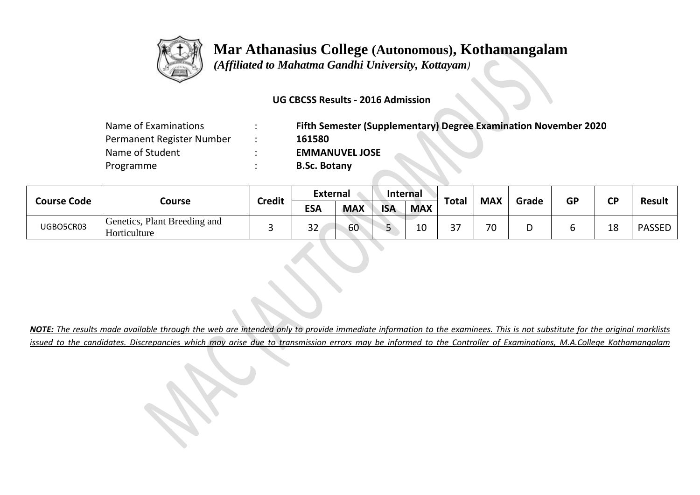

## **Mar Athanasius College (Autonomous), Kothamangalam**

 *(Affiliated to Mahatma Gandhi University, Kottayam)*

## **UG CBCSS Results - 2016 Admission**

| Fifth Semester (Supplementary) Degree Examination November 2020 |
|-----------------------------------------------------------------|
| 161580                                                          |
| <b>EMMANUVEL JOSE</b>                                           |
| <b>B.Sc. Botany</b>                                             |
|                                                                 |

| <b>Course Code</b> | Course                                       | <b>Credit</b> | External      |            | <b>Internal</b> |            |                          |            |       |           |           |               |
|--------------------|----------------------------------------------|---------------|---------------|------------|-----------------|------------|--------------------------|------------|-------|-----------|-----------|---------------|
|                    |                                              |               | <b>ESA</b>    | <b>MAX</b> | <b>ISA</b>      | <b>MAX</b> | <b>Total</b>             | <b>MAX</b> | Grade | <b>GP</b> | <b>CP</b> | <b>Result</b> |
| UGBO5CR03          | Genetics, Plant Breeding and<br>Horticulture |               | $\sim$<br>ے ت | 60         |                 | 10         | $\mathbin{\lnot}$<br>، ب | 70         |       |           | 18        | <b>PASSED</b> |

*NOTE: The results made available through the web are intended only to provide immediate information to the examinees. This is not substitute for the original marklists issued to the candidates. Discrepancies which may arise due to transmission errors may be informed to the Controller of Examinations, M.A.College Kothamangalam*